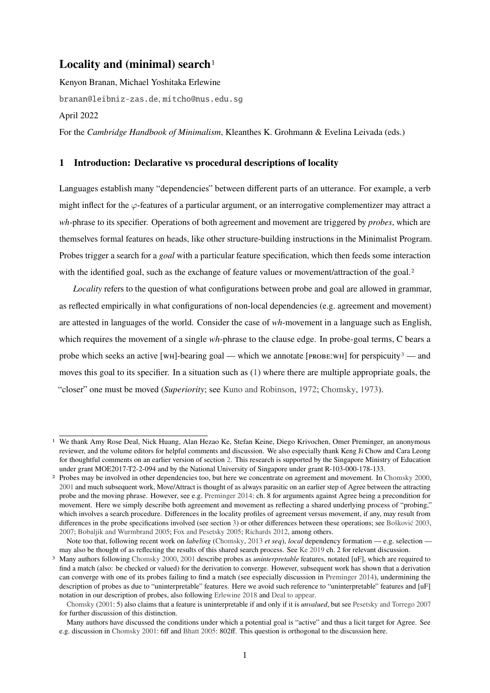# **Locality and (minimal) search**[1](#page-0-0)

Kenyon Branan, Michael Yoshitaka Erlewine [branan@leibniz-zas.de](mailto:branan@leibniz-zas.de,mitcho@nus.edu.sg), mitcho@nus.edu.sg April 2022

For the *Cambridge Handbook of Minimalism*, Kleanthes K. Grohmann & Evelina Leivada (eds.)

## <span id="page-0-3"></span>**1 Introduction: Declarative vs procedural descriptions of locality**

Languages establish many "dependencies" between different parts of an utterance. For example, a verb might inflect for the  $\varphi$ -features of a particular argument, or an interrogative complementizer may attract a *wh*-phrase to its specifier. Operations of both agreement and movement are triggered by *probes*, which are themselves formal features on heads, like other structure-building instructions in the Minimalist Program. Probes trigger a search for a *goal* with a particular feature specification, which then feeds some interaction with the identified goal, such as the exchange of feature values or movement/attraction of the goal.<sup>[2](#page-0-1)</sup>

*Locality* refers to the question of what configurations between probe and goal are allowed in grammar, as reflected empirically in what configurations of non-local dependencies (e.g. agreement and movement) are attested in languages of the world. Consider the case of *wh*-movement in a language such as English, which requires the movement of a single *wh*-phrase to the clause edge. In probe-goal terms, C bears a probe which seeks an active [wH]-bearing goal — which we annotate [ $PROBE:WH$ ] for perspicuity<sup>[3](#page-0-2)</sup> — and moves this goal to its specifier. In a situation such as [\(1\)](#page-0-3) where there are multiple appropriate goals, the "closer" one must be moved (*Superiority*; see [Kuno and Robinson,](#page-24-0) [1972;](#page-24-0) [Chomsky,](#page-21-0) [1973\)](#page-21-0).

<span id="page-0-0"></span><sup>1</sup> We thank Amy Rose Deal, Nick Huang, Alan Hezao Ke, Stefan Keine, Diego Krivochen, Omer Preminger, an anonymous reviewer, and the volume editors for helpful comments and discussion. We also especially thank Keng Ji Chow and Cara Leong for thoughtful comments on an earlier version of section [2.](#page-2-0) This research is supported by the Singapore Ministry of Education under grant MOE2017-T2-2-094 and by the National University of Singapore under grant R-103-000-178-133.

<span id="page-0-1"></span><sup>2</sup> Probes may be involved in other dependencies too, but here we concentrate on agreement and movement. In [Chomsky](#page-21-1) [2000,](#page-21-1) [2001](#page-21-2) and much subsequent work, Move/Attract is thought of as always parasitic on an earlier step of Agree between the attracting probe and the moving phrase. However, see e.g. [Preminger](#page-25-0) [2014:](#page-25-0) ch. 8 for arguments against Agree being a precondition for movement. Here we simply describe both agreement and movement as reflecting a shared underlying process of "probing," which involves a search procedure. Differences in the locality profiles of agreement versus movement, if any, may result from differences in the probe specifications involved (see section [3\)](#page-7-0) or other differences between these operations; see [Bošković](#page-20-0) [2003,](#page-20-0) [2007;](#page-20-1) [Bobaljik and Wurmbrand](#page-20-2) [2005;](#page-20-2) [Fox and Pesetsky](#page-23-0) [2005;](#page-23-0) [Richards](#page-25-1) [2012,](#page-25-1) among others.

Note too that, following recent work on *labeling* [\(Chomsky,](#page-21-3) [2013](#page-21-3) *et seq*), *local* dependency formation — e.g. selection may also be thought of as reflecting the results of this shared search process. See [Ke](#page-23-1) [2019](#page-23-1) ch. 2 for relevant discussion.

<span id="page-0-2"></span><sup>3</sup> Many authors following [Chomsky](#page-21-1) [2000,](#page-21-1) [2001](#page-21-2) describe probes as *uninterpretable* features, notated [uF], which are required to find a match (also: be checked or valued) for the derivation to converge. However, subsequent work has shown that a derivation can converge with one of its probes failing to find a match (see especially discussion in [Preminger](#page-25-0) [2014\)](#page-25-0), undermining the description of probes as due to "uninterpretable" features. Here we avoid such reference to "uninterpretable" features and [uF] notation in our description of probes, also following [Erlewine](#page-22-0) [2018](#page-22-0) and [Deal](#page-22-1) [to appear.](#page-22-1)

[Chomsky](#page-21-2) [\(2001:](#page-21-2) 5) also claims that a feature is uninterpretable if and only if it is *unvalued*, but see [Pesetsky and Torrego](#page-25-2) [2007](#page-25-2) for further discussion of this distinction.

Many authors have discussed the conditions under which a potential goal is "active" and thus a licit target for Agree. See e.g. discussion in [Chomsky](#page-21-2) [2001:](#page-21-2) 6ff and [Bhatt](#page-20-3) [2005:](#page-20-3) 802ff. This question is orthogonal to the discussion here.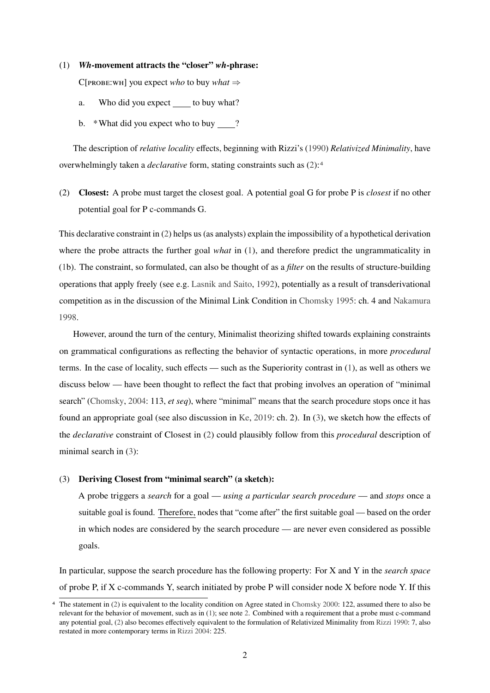(1) *Wh***-movement attracts the "closer"** *wh***-phrase:**

 $C[PROBE:WH]$  you expect *who* to buy *what*  $\Rightarrow$ 

- a. Who did you expect to buy what?
- b. \*What did you expect who to buy ?

The description of *relative locality* effects, beginning with Rizzi's [\(1990\)](#page-25-3) *Relativized Minimality*, have overwhelmingly taken a *declarative* form, stating constraints such as [\(2\)](#page-0-3):[4](#page-1-0)

(2) **Closest:** A probe must target the closest goal. A potential goal G for probe P is *closest* if no other potential goal for P c-commands G.

This declarative constraint in [\(2\)](#page-0-3) helps us (as analysts) explain the impossibility of a hypothetical derivation where the probe attracts the further goal *what* in [\(1\)](#page-0-3), and therefore predict the ungrammaticality in [\(1b](#page-0-3)). The constraint, so formulated, can also be thought of as a *filter* on the results of structure-building operations that apply freely (see e.g. [Lasnik and Saito,](#page-24-1) [1992\)](#page-24-1), potentially as a result of transderivational competition as in the discussion of the Minimal Link Condition in [Chomsky](#page-21-4) [1995:](#page-21-4) ch. 4 and [Nakamura](#page-24-2) [1998.](#page-24-2)

However, around the turn of the century, Minimalist theorizing shifted towards explaining constraints on grammatical configurations as reflecting the behavior of syntactic operations, in more *procedural* terms. In the case of locality, such effects — such as the Superiority contrast in [\(1\)](#page-0-3), as well as others we discuss below — have been thought to reflect the fact that probing involves an operation of "minimal search" [\(Chomsky,](#page-21-5) [2004:](#page-21-5) 113, *et seq*), where "minimal" means that the search procedure stops once it has found an appropriate goal (see also discussion in [Ke,](#page-23-1) [2019:](#page-23-1) ch. 2). In [\(3\)](#page-0-3), we sketch how the effects of the *declarative* constraint of Closest in [\(2\)](#page-0-3) could plausibly follow from this *procedural* description of minimal search in [\(3\)](#page-0-3):

### (3) **Deriving Closest from "minimal search" (a sketch):**

A probe triggers a *search* for a goal — *using a particular search procedure* — and *stops* once a suitable goal is found. Therefore, nodes that "come after" the first suitable goal — based on the order in which nodes are considered by the search procedure — are never even considered as possible goals.

In particular, suppose the search procedure has the following property: For X and Y in the *search space* of probe P, if X c-commands Y, search initiated by probe P will consider node X before node Y. If this

<span id="page-1-0"></span><sup>4</sup> The statement in [\(2\)](#page-0-3) is equivalent to the locality condition on Agree stated in [Chomsky](#page-21-1) [2000:](#page-21-1) 122, assumed there to also be relevant for the behavior of movement, such as in [\(1\)](#page-0-3); see note [2.](#page-0-1) Combined with a requirement that a probe must c-command any potential goal, [\(2\)](#page-0-3) also becomes effectively equivalent to the formulation of Relativized Minimality from [Rizzi](#page-25-3) [1990:](#page-25-3) 7, also restated in more contemporary terms in [Rizzi](#page-25-4) [2004:](#page-25-4) 225.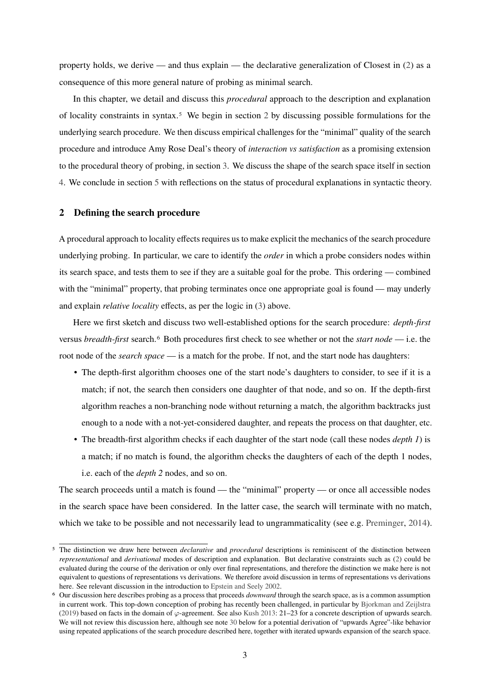property holds, we derive — and thus explain — the declarative generalization of Closest in  $(2)$  as a consequence of this more general nature of probing as minimal search.

In this chapter, we detail and discuss this *procedural* approach to the description and explanation of locality constraints in syntax.[5](#page-2-1) We begin in section [2](#page-2-0) by discussing possible formulations for the underlying search procedure. We then discuss empirical challenges for the "minimal" quality of the search procedure and introduce Amy Rose Deal's theory of *interaction vs satisfaction* as a promising extension to the procedural theory of probing, in section [3.](#page-7-0) We discuss the shape of the search space itself in section [4.](#page-10-0) We conclude in section [5](#page-17-0) with reflections on the status of procedural explanations in syntactic theory.

### <span id="page-2-0"></span>**2 Defining the search procedure**

A procedural approach to locality effects requires us to make explicit the mechanics of the search procedure underlying probing. In particular, we care to identify the *order* in which a probe considers nodes within its search space, and tests them to see if they are a suitable goal for the probe. This ordering — combined with the "minimal" property, that probing terminates once one appropriate goal is found — may underly and explain *relative locality* effects, as per the logic in [\(3\)](#page-0-3) above.

Here we first sketch and discuss two well-established options for the search procedure: *depth-first* versus *breadth-first* search.[6](#page-2-2) Both procedures first check to see whether or not the *start node* — i.e. the root node of the *search space* — is a match for the probe. If not, and the start node has daughters:

- The depth-first algorithm chooses one of the start node's daughters to consider, to see if it is a match; if not, the search then considers one daughter of that node, and so on. If the depth-first algorithm reaches a non-branching node without returning a match, the algorithm backtracks just enough to a node with a not-yet-considered daughter, and repeats the process on that daughter, etc.
- The breadth-first algorithm checks if each daughter of the start node (call these nodes *depth 1*) is a match; if no match is found, the algorithm checks the daughters of each of the depth 1 nodes, i.e. each of the *depth 2* nodes, and so on.

The search proceeds until a match is found — the "minimal" property — or once all accessible nodes in the search space have been considered. In the latter case, the search will terminate with no match, which we take to be possible and not necessarily lead to ungrammaticality (see e.g. [Preminger,](#page-25-0) [2014\)](#page-25-0).

<span id="page-2-1"></span><sup>5</sup> The distinction we draw here between *declarative* and *procedural* descriptions is reminiscent of the distinction between *representational* and *derivational* modes of description and explanation. But declarative constraints such as [\(2\)](#page-0-3) could be evaluated during the course of the derivation or only over final representations, and therefore the distinction we make here is not equivalent to questions of representations vs derivations. We therefore avoid discussion in terms of representations vs derivations here. See relevant discussion in the introduction to [Epstein and Seely](#page-22-2) [2002.](#page-22-2)

<span id="page-2-2"></span><sup>6</sup> Our discussion here describes probing as a process that proceeds *downward* through the search space, as is a common assumption in current work. This top-down conception of probing has recently been challenged, in particular by [Bjorkman and Zeijlstra](#page-20-4) [\(2019\)](#page-20-4) based on facts in the domain of  $\varphi$ -agreement. See also [Kush](#page-24-3) [2013:](#page-24-3) 21–23 for a concrete description of upwards search. We will not review this discussion here, although see note [30](#page-17-1) below for a potential derivation of "upwards Agree"-like behavior using repeated applications of the search procedure described here, together with iterated upwards expansion of the search space.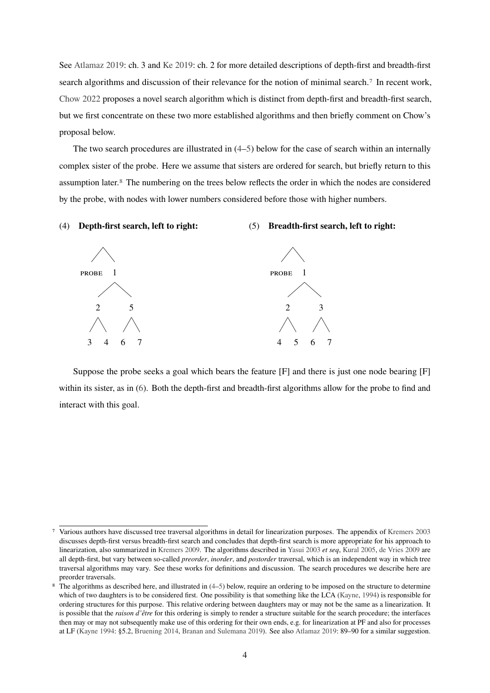See [Atlamaz](#page-20-5) [2019:](#page-20-5) ch. 3 and [Ke](#page-23-1) [2019:](#page-23-1) ch. 2 for more detailed descriptions of depth-first and breadth-first search algorithms and discussion of their relevance for the notion of minimal search.[7](#page-3-0) In recent work, [Chow](#page-21-6) [2022](#page-21-6) proposes a novel search algorithm which is distinct from depth-first and breadth-first search, but we first concentrate on these two more established algorithms and then briefly comment on Chow's proposal below.

The two search procedures are illustrated in [\(4–5\)](#page-2-0) below for the case of search within an internally complex sister of the probe. Here we assume that sisters are ordered for search, but briefly return to this assumption later.[8](#page-3-1) The numbering on the trees below reflects the order in which the nodes are considered by the probe, with nodes with lower numbers considered before those with higher numbers.

### (4) **Depth-first search, left to right:**

#### (5) **Breadth-first search, left to right:**



Suppose the probe seeks a goal which bears the feature [F] and there is just one node bearing [F] within its sister, as in [\(6\)](#page-2-0). Both the depth-first and breadth-first algorithms allow for the probe to find and interact with this goal.

<span id="page-3-0"></span><sup>7</sup> Various authors have discussed tree traversal algorithms in detail for linearization purposes. The appendix of [Kremers](#page-24-4) [2003](#page-24-4) discusses depth-first versus breadth-first search and concludes that depth-first search is more appropriate for his approach to linearization, also summarized in [Kremers](#page-24-5) [2009.](#page-24-5) The algorithms described in [Yasui](#page-26-0) [2003](#page-26-0) *et seq*, [Kural](#page-24-6) [2005,](#page-24-6) [de Vries](#page-26-1) [2009](#page-26-1) are all depth-first, but vary between so-called *preorder*, *inorder*, and *postorder* traversal, which is an independent way in which tree traversal algorithms may vary. See these works for definitions and discussion. The search procedures we describe here are preorder traversals.

<span id="page-3-1"></span>The algorithms as described here, and illustrated in  $(4-5)$  below, require an ordering to be imposed on the structure to determine which of two daughters is to be considered first. One possibility is that something like the LCA [\(Kayne,](#page-23-2) [1994\)](#page-23-2) is responsible for ordering structures for this purpose. This relative ordering between daughters may or may not be the same as a linearization. It is possible that the *raison d'être* for this ordering is simply to render a structure suitable for the search procedure; the interfaces then may or may not subsequently make use of this ordering for their own ends, e.g. for linearization at PF and also for processes at LF [\(Kayne](#page-23-2) [1994:](#page-23-2) §5.2, [Bruening](#page-21-7) [2014,](#page-21-7) [Branan and Sulemana](#page-21-8) [2019\)](#page-21-8). See also [Atlamaz](#page-20-5) [2019:](#page-20-5) 89–90 for a similar suggestion.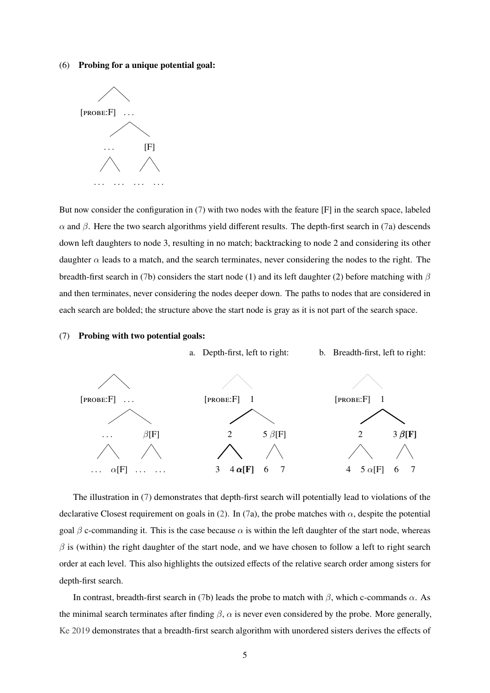### (6) **Probing for a unique potential goal:**



But now consider the configuration in [\(7\)](#page-2-0) with two nodes with the feature [F] in the search space, labeled α and β. Here the two search algorithms yield different results. The depth-first search in [\(7a](#page-2-0)) descends down left daughters to node 3, resulting in no match; backtracking to node 2 and considering its other daughter  $\alpha$  leads to a match, and the search terminates, never considering the nodes to the right. The breadth-first search in [\(7b](#page-2-0)) considers the start node (1) and its left daughter (2) before matching with  $\beta$ and then terminates, never considering the nodes deeper down. The paths to nodes that are considered in each search are bolded; the structure above the start node is gray as it is not part of the search space.

### (7) **Probing with two potential goals:**



The illustration in [\(7\)](#page-2-0) demonstrates that depth-first search will potentially lead to violations of the declarative Closest requirement on goals in [\(2\)](#page-0-3). In [\(7a](#page-2-0)), the probe matches with  $\alpha$ , despite the potential goal  $\beta$  c-commanding it. This is the case because  $\alpha$  is within the left daughter of the start node, whereas  $\beta$  is (within) the right daughter of the start node, and we have chosen to follow a left to right search order at each level. This also highlights the outsized effects of the relative search order among sisters for depth-first search.

In contrast, breadth-first search in [\(7b](#page-2-0)) leads the probe to match with  $\beta$ , which c-commands  $\alpha$ . As the minimal search terminates after finding  $\beta$ ,  $\alpha$  is never even considered by the probe. More generally, [Ke](#page-23-1) [2019](#page-23-1) demonstrates that a breadth-first search algorithm with unordered sisters derives the effects of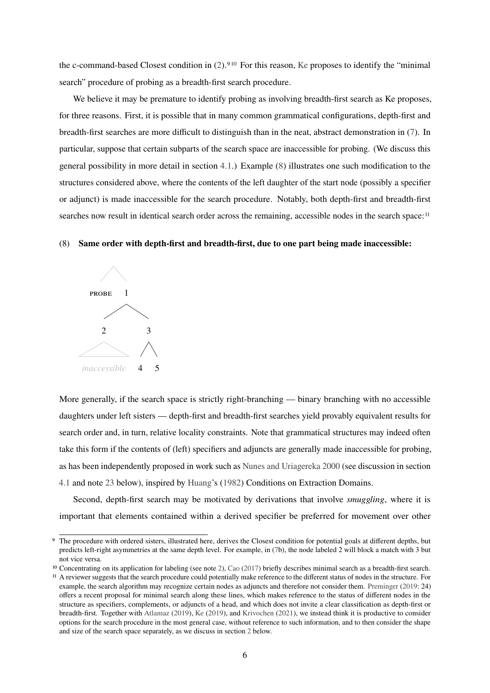the c-command-based Closest condition in [\(2\)](#page-0-3).<sup>[9](#page-5-0)[10](#page-5-1)</sup> For this reason, [Ke](#page-23-1) proposes to identify the "minimal" search" procedure of probing as a breadth-first search procedure.

We believe it may be premature to identify probing as involving breadth-first search as Ke proposes, for three reasons. First, it is possible that in many common grammatical configurations, depth-first and breadth-first searches are more difficult to distinguish than in the neat, abstract demonstration in [\(7\)](#page-2-0). In particular, suppose that certain subparts of the search space are inaccessible for probing. (We discuss this general possibility in more detail in section [4.1.](#page-11-0)) Example [\(8\)](#page-2-0) illustrates one such modification to the structures considered above, where the contents of the left daughter of the start node (possibly a specifier or adjunct) is made inaccessible for the search procedure. Notably, both depth-first and breadth-first searches now result in identical search order across the remaining, accessible nodes in the search space:<sup>[11](#page-5-2)</sup>

### (8) **Same order with depth-first and breadth-first, due to one part being made inaccessible:**



More generally, if the search space is strictly right-branching — binary branching with no accessible daughters under left sisters — depth-first and breadth-first searches yield provably equivalent results for search order and, in turn, relative locality constraints. Note that grammatical structures may indeed often take this form if the contents of (left) specifiers and adjuncts are generally made inaccessible for probing, as has been independently proposed in work such as [Nunes and Uriagereka](#page-24-7) [2000](#page-24-7) (see discussion in section [4.1](#page-11-0) and note [23](#page-12-0) below), inspired by [Huang'](#page-23-3)s [\(1982\)](#page-23-3) Conditions on Extraction Domains.

Second, depth-first search may be motivated by derivations that involve *smuggling*, where it is important that elements contained within a derived specifier be preferred for movement over other

<span id="page-5-0"></span><sup>9</sup> The procedure with ordered sisters, illustrated here, derives the Closest condition for potential goals at different depths, but predicts left-right asymmetries at the same depth level. For example, in [\(7b](#page-2-0)), the node labeled 2 will block a match with 3 but not vice versa.

<span id="page-5-2"></span><span id="page-5-1"></span><sup>10</sup> Concentrating on its application for labeling (see note [2\)](#page-0-1), [Cao](#page-21-9) [\(2017\)](#page-21-9) briefly describes minimal search as a breadth-first search. 11 A reviewer suggests that the search procedure could potentially make reference to the different status of nodes in the structure. For example, the search algorithm may recognize certain nodes as adjuncts and therefore not consider them. [Preminger](#page-25-5) [\(2019:](#page-25-5) 24) offers a recent proposal for minimal search along these lines, which makes reference to the status of different nodes in the structure as specifiers, complements, or adjuncts of a head, and which does not invite a clear classification as depth-first or breadth-first. Together with [Atlamaz](#page-20-5) [\(2019\)](#page-20-5), [Ke](#page-23-1) [\(2019\)](#page-23-1), and [Krivochen](#page-24-8) [\(2021\)](#page-24-8), we instead think it is productive to consider options for the search procedure in the most general case, without reference to such information, and to then consider the shape and size of the search space separately, as we discuss in section [2](#page-2-0) below.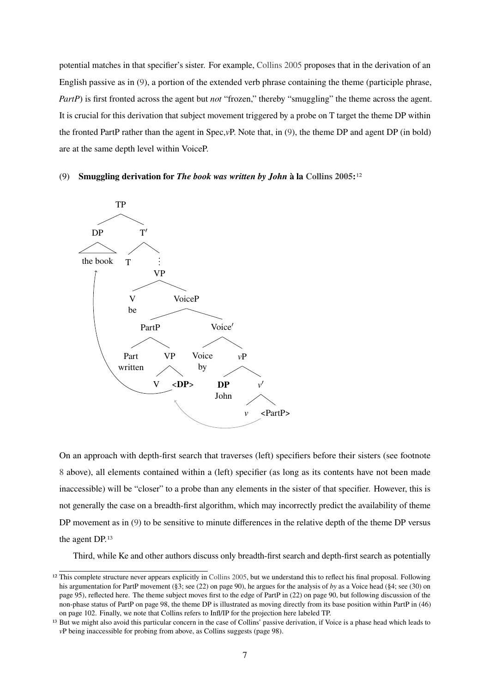potential matches in that specifier's sister. For example, [Collins](#page-22-3) [2005](#page-22-3) proposes that in the derivation of an English passive as in [\(9\)](#page-2-0), a portion of the extended verb phrase containing the theme (participle phrase, *PartP*) is first fronted across the agent but *not* "frozen," thereby "smuggling" the theme across the agent. It is crucial for this derivation that subject movement triggered by a probe on T target the theme DP within the fronted PartP rather than the agent in Spec,*v*P. Note that, in [\(9\)](#page-2-0), the theme DP and agent DP (in bold) are at the same depth level within VoiceP.

### (9) **Smuggling derivation for** *The book was written by John* **à la [Collins](#page-22-3) [2005:](#page-22-3)**[12](#page-6-0)



On an approach with depth-first search that traverses (left) specifiers before their sisters (see footnote [8](#page-3-1) above), all elements contained within a (left) specifier (as long as its contents have not been made inaccessible) will be "closer" to a probe than any elements in the sister of that specifier. However, this is not generally the case on a breadth-first algorithm, which may incorrectly predict the availability of theme DP movement as in [\(9\)](#page-2-0) to be sensitive to minute differences in the relative depth of the theme DP versus the agent DP.[13](#page-6-1)

Third, while Ke and other authors discuss only breadth-first search and depth-first search as potentially

<span id="page-6-0"></span><sup>&</sup>lt;sup>12</sup> This complete structure never appears explicitly in [Collins](#page-22-3) [2005,](#page-22-3) but we understand this to reflect his final proposal. Following his argumentation for PartP movement (§3; see (22) on page 90), he argues for the analysis of *by* as a Voice head (§4; see (30) on page 95), reflected here. The theme subject moves first to the edge of PartP in (22) on page 90, but following discussion of the non-phase status of PartP on page 98, the theme DP is illustrated as moving directly from its base position within PartP in (46) on page 102. Finally, we note that Collins refers to Infl/IP for the projection here labeled TP.

<span id="page-6-1"></span><sup>&</sup>lt;sup>13</sup> But we might also avoid this particular concern in the case of Collins' passive derivation, if Voice is a phase head which leads to *v*P being inaccessible for probing from above, as Collins suggests (page 98).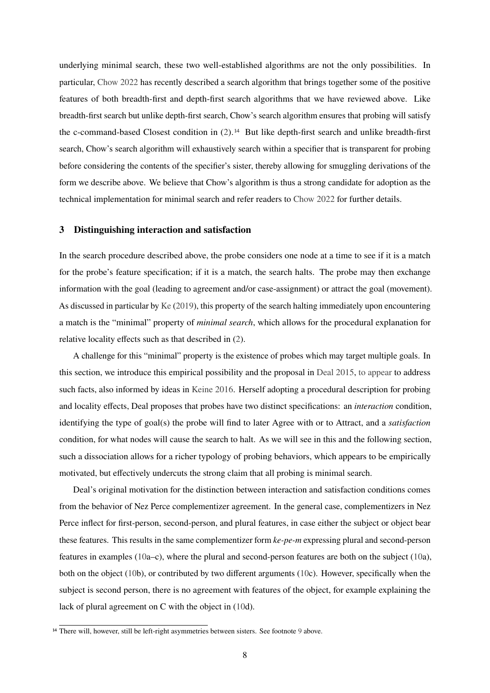underlying minimal search, these two well-established algorithms are not the only possibilities. In particular, [Chow](#page-21-6) [2022](#page-21-6) has recently described a search algorithm that brings together some of the positive features of both breadth-first and depth-first search algorithms that we have reviewed above. Like breadth-first search but unlike depth-first search, Chow's search algorithm ensures that probing will satisfy the c-command-based Closest condition in [\(2\)](#page-0-3).<sup>[14](#page-7-1)</sup> But like depth-first search and unlike breadth-first search, Chow's search algorithm will exhaustively search within a specifier that is transparent for probing before considering the contents of the specifier's sister, thereby allowing for smuggling derivations of the form we describe above. We believe that Chow's algorithm is thus a strong candidate for adoption as the technical implementation for minimal search and refer readers to [Chow](#page-21-6) [2022](#page-21-6) for further details.

## <span id="page-7-0"></span>**3 Distinguishing interaction and satisfaction**

In the search procedure described above, the probe considers one node at a time to see if it is a match for the probe's feature specification; if it is a match, the search halts. The probe may then exchange information with the goal (leading to agreement and/or case-assignment) or attract the goal (movement). As discussed in particular by [Ke](#page-23-1) [\(2019\)](#page-23-1), this property of the search halting immediately upon encountering a match is the "minimal" property of *minimal search*, which allows for the procedural explanation for relative locality effects such as that described in [\(2\)](#page-0-3).

A challenge for this "minimal" property is the existence of probes which may target multiple goals. In this section, we introduce this empirical possibility and the proposal in [Deal](#page-22-4) [2015,](#page-22-4) [to appear](#page-22-1) to address such facts, also informed by ideas in [Keine](#page-24-9) [2016.](#page-24-9) Herself adopting a procedural description for probing and locality effects, Deal proposes that probes have two distinct specifications: an *interaction* condition, identifying the type of goal(s) the probe will find to later Agree with or to Attract, and a *satisfaction* condition, for what nodes will cause the search to halt. As we will see in this and the following section, such a dissociation allows for a richer typology of probing behaviors, which appears to be empirically motivated, but effectively undercuts the strong claim that all probing is minimal search.

Deal's original motivation for the distinction between interaction and satisfaction conditions comes from the behavior of Nez Perce complementizer agreement. In the general case, complementizers in Nez Perce inflect for first-person, second-person, and plural features, in case either the subject or object bear these features. This results in the same complementizer form *ke-pe-m* expressing plural and second-person features in examples [\(10a](#page-7-0)–c), where the plural and second-person features are both on the subject [\(10a](#page-7-0)), both on the object [\(10b](#page-7-0)), or contributed by two different arguments [\(10c](#page-7-0)). However, specifically when the subject is second person, there is no agreement with features of the object, for example explaining the lack of plural agreement on C with the object in [\(10d](#page-7-0)).

<span id="page-7-1"></span><sup>&</sup>lt;sup>14</sup> There will, however, still be left-right asymmetries between sisters. See footnote [9](#page-5-0) above.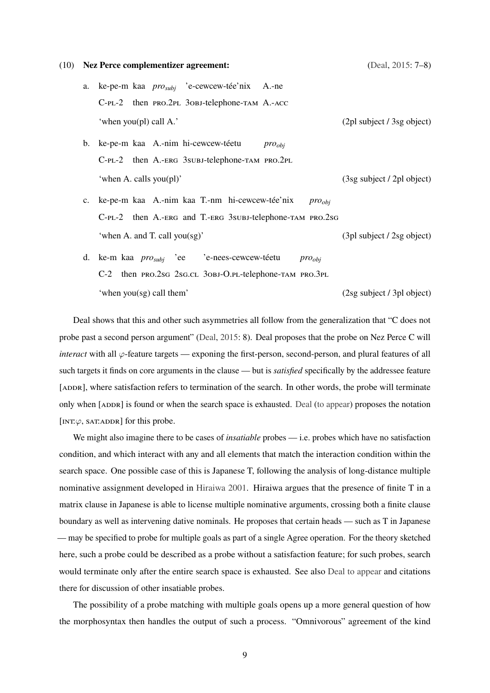#### (10) **Nez Perce complementizer agreement:** [\(Deal,](#page-22-4) [2015:](#page-22-4) 7–8)

- a. ke-pe-m kaa *prosubj* 'e-cewcew-tée'nix A.-ne C-PL-2 then PRO.2PL 30BJ-telephone-TAM A.-ACC 'when you(pl) call A.' (2pl subject / 3sg object)
- b. ke-pe-m kaa A.-nim hi-cewcew-téetu C-pl-2 then A.-erg 3subj-telephone-tam pro.2pl *proobj* 'when A. calls you(pl)' (3sg subject / 2pl object)
- c. ke-pe-m kaa A.-nim kaa T.-nm hi-cewcew-tée'nix  $C$ -PL-2 then A.-ERG and T.-ERG 3subj-telephone-tam PRO.2sG *proobj* 'when A. and T. call you(sg)' (3pl subject / 2sg object)
- d. ke-m kaa *prosubj* 'ee C-2 then PRO.2sg 2sg.cl 3obj-O.Pl-telephone-TAM PRO.3PL 'e-nees-cewcew-téetu *proobj* 'when you(sg) call them' (2sg subject / 3pl object)

Deal shows that this and other such asymmetries all follow from the generalization that "C does not probe past a second person argument" [\(Deal,](#page-22-4) [2015:](#page-22-4) 8). Deal proposes that the probe on Nez Perce C will *interact* with all  $\varphi$ -feature targets — exponing the first-person, second-person, and plural features of all such targets it finds on core arguments in the clause — but is *satisfied* specifically by the addressee feature [ADDR], where satisfaction refers to termination of the search. In other words, the probe will terminate only when [addr] is found or when the search space is exhausted. [Deal](#page-22-1) [\(to appear\)](#page-22-1) proposes the notation [INT: $\varphi$ , SAT:ADDR] for this probe.

We might also imagine there to be cases of *insatiable* probes — i.e. probes which have no satisfaction condition, and which interact with any and all elements that match the interaction condition within the search space. One possible case of this is Japanese T, following the analysis of long-distance multiple nominative assignment developed in [Hiraiwa](#page-23-4) [2001.](#page-23-4) Hiraiwa argues that the presence of finite T in a matrix clause in Japanese is able to license multiple nominative arguments, crossing both a finite clause boundary as well as intervening dative nominals. He proposes that certain heads — such as T in Japanese — may be specified to probe for multiple goals as part of a single Agree operation. For the theory sketched here, such a probe could be described as a probe without a satisfaction feature; for such probes, search would terminate only after the entire search space is exhausted. See also [Deal](#page-22-1) [to appear](#page-22-1) and citations there for discussion of other insatiable probes.

The possibility of a probe matching with multiple goals opens up a more general question of how the morphosyntax then handles the output of such a process. "Omnivorous" agreement of the kind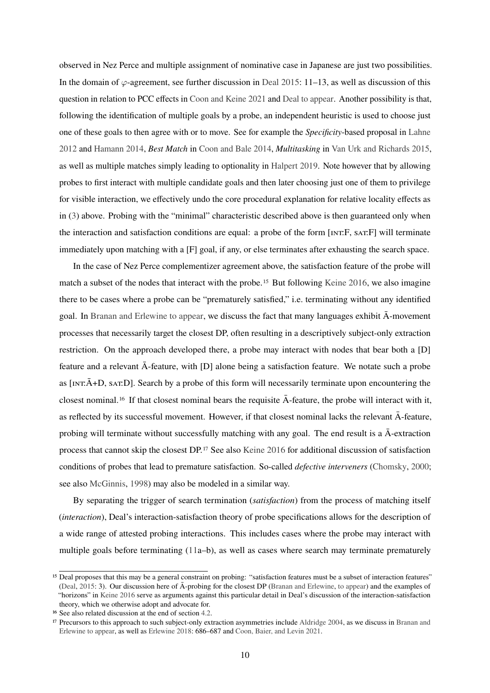observed in Nez Perce and multiple assignment of nominative case in Japanese are just two possibilities. In the domain of  $\varphi$ -agreement, see further discussion in [Deal](#page-22-4) [2015:](#page-22-4) 11–13, as well as discussion of this question in relation to PCC effects in [Coon and Keine](#page-22-5) [2021](#page-22-5) and [Deal](#page-22-1) [to appear.](#page-22-1) Another possibility is that, following the identification of multiple goals by a probe, an independent heuristic is used to choose just one of these goals to then agree with or to move. See for example the *Specificity*-based proposal in [Lahne](#page-24-10) [2012](#page-24-10) and [Hamann](#page-23-5) [2014,](#page-23-5) *Best Match* in [Coon and Bale](#page-22-6) [2014,](#page-22-6) *Multitasking* in [Van Urk and Richards](#page-25-6) [2015,](#page-25-6) as well as multiple matches simply leading to optionality in [Halpert](#page-23-6) [2019.](#page-23-6) Note however that by allowing probes to first interact with multiple candidate goals and then later choosing just one of them to privilege for visible interaction, we effectively undo the core procedural explanation for relative locality effects as in [\(3\)](#page-0-3) above. Probing with the "minimal" characteristic described above is then guaranteed only when the interaction and satisfaction conditions are equal: a probe of the form [int:F, sat:F] will terminate immediately upon matching with a [F] goal, if any, or else terminates after exhausting the search space.

In the case of Nez Perce complementizer agreement above, the satisfaction feature of the probe will match a subset of the nodes that interact with the probe.[15](#page-9-0) But following [Keine](#page-24-9) [2016,](#page-24-9) we also imagine there to be cases where a probe can be "prematurely satisfied," i.e. terminating without any identified goal. In [Branan and Erlewine](#page-21-10) [to appear,](#page-21-10) we discuss the fact that many languages exhibit  $\bar{A}$ -movement processes that necessarily target the closest DP, often resulting in a descriptively subject-only extraction restriction. On the approach developed there, a probe may interact with nodes that bear both a [D] feature and a relevant  $\bar{A}$ -feature, with [D] alone being a satisfaction feature. We notate such a probe as  $\text{inr}.\overline{A}$ +D, sat:D]. Search by a probe of this form will necessarily terminate upon encountering the closest nominal.<sup>[16](#page-9-1)</sup> If that closest nominal bears the requisite  $\bar{A}$ -feature, the probe will interact with it, as reflected by its successful movement. However, if that closest nominal lacks the relevant  $\overline{A}$ -feature, probing will terminate without successfully matching with any goal. The end result is a  $\bar{A}$ -extraction process that cannot skip the closest DP.[17](#page-9-2) See also [Keine](#page-24-9) [2016](#page-24-9) for additional discussion of satisfaction conditions of probes that lead to premature satisfaction. So-called *defective interveners* [\(Chomsky,](#page-21-1) [2000;](#page-21-1) see also [McGinnis,](#page-24-11) [1998\)](#page-24-11) may also be modeled in a similar way.

By separating the trigger of search termination (*satisfaction*) from the process of matching itself (*interaction*), Deal's interaction-satisfaction theory of probe specifications allows for the description of a wide range of attested probing interactions. This includes cases where the probe may interact with multiple goals before terminating [\(11a](#page-7-0)–b), as well as cases where search may terminate prematurely

<span id="page-9-0"></span><sup>&</sup>lt;sup>15</sup> Deal proposes that this may be a general constraint on probing: "satisfaction features must be a subset of interaction features" [\(Deal,](#page-22-4) [2015:](#page-22-4) 3). Our discussion here of  $\bar{A}$ -probing for the closest DP ([Branan and Erlewine,](#page-21-10) [to appear\)](#page-21-10) and the examples of "horizons" in [Keine](#page-24-9) [2016](#page-24-9) serve as arguments against this particular detail in Deal's discussion of the interaction-satisfaction theory, which we otherwise adopt and advocate for.

<span id="page-9-1"></span><sup>16</sup> See also related discussion at the end of section [4.2.](#page-14-0)

<span id="page-9-2"></span><sup>17</sup> Precursors to this approach to such subject-only extraction asymmetries include [Aldridge](#page-20-6) [2004,](#page-20-6) as we discuss in [Branan and](#page-21-10) [Erlewine](#page-21-10) [to appear,](#page-21-10) as well as [Erlewine](#page-22-0) [2018:](#page-22-0) 686–687 and [Coon, Baier, and Levin](#page-22-7) [2021.](#page-22-7)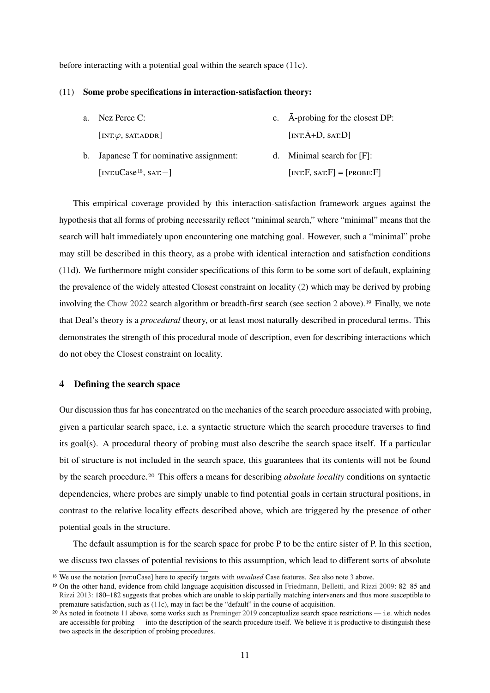before interacting with a potential goal within the search space [\(11c](#page-7-0)).

### (11) **Some probe specifications in interaction-satisfaction theory:**

- a. Nez Perce C:  $\left[INT:\varphi, SAT: ADDR\right]$ c.  $\bar{A}$ -probing for the closest DP:  $\left[ \text{INT}.\bar{A}+D, \text{SAT}:\bar{D} \right]$
- b. Japanese T for nominative assignment: [int:uCase<sup>[18](#page-10-1)</sup>, sat:−] d. Minimal search for [F]:  $[NT.F, SAT.F] = [PROBE:F]$

This empirical coverage provided by this interaction-satisfaction framework argues against the hypothesis that all forms of probing necessarily reflect "minimal search," where "minimal" means that the search will halt immediately upon encountering one matching goal. However, such a "minimal" probe may still be described in this theory, as a probe with identical interaction and satisfaction conditions [\(11d](#page-7-0)). We furthermore might consider specifications of this form to be some sort of default, explaining the prevalence of the widely attested Closest constraint on locality [\(2\)](#page-0-3) which may be derived by probing involving the [Chow](#page-21-6) [2022](#page-21-6) search algorithm or breadth-first search (see section [2](#page-2-0) above).<sup>[19](#page-10-2)</sup> Finally, we note that Deal's theory is a *procedural* theory, or at least most naturally described in procedural terms. This demonstrates the strength of this procedural mode of description, even for describing interactions which do not obey the Closest constraint on locality.

## <span id="page-10-0"></span>**4 Defining the search space**

Our discussion thus far has concentrated on the mechanics of the search procedure associated with probing, given a particular search space, i.e. a syntactic structure which the search procedure traverses to find its goal(s). A procedural theory of probing must also describe the search space itself. If a particular bit of structure is not included in the search space, this guarantees that its contents will not be found by the search procedure.[20](#page-10-3) This offers a means for describing *absolute locality* conditions on syntactic dependencies, where probes are simply unable to find potential goals in certain structural positions, in contrast to the relative locality effects described above, which are triggered by the presence of other potential goals in the structure.

The default assumption is for the search space for probe P to be the entire sister of P. In this section, we discuss two classes of potential revisions to this assumption, which lead to different sorts of absolute

<span id="page-10-1"></span><sup>&</sup>lt;sup>18</sup> We use the notation [INT:uCase] here to specify targets with *unvalued* Case features. See also note [3](#page-0-2) above.

<span id="page-10-2"></span><sup>19</sup> On the other hand, evidence from child language acquisition discussed in [Friedmann, Belletti, and Rizzi](#page-23-7) [2009:](#page-23-7) 82–85 and [Rizzi](#page-25-7) [2013:](#page-25-7) 180–182 suggests that probes which are unable to skip partially matching interveners and thus more susceptible to premature satisfaction, such as [\(11c](#page-7-0)), may in fact be the "default" in the course of acquisition.

<span id="page-10-3"></span> $20$  As noted in footnote [11](#page-5-2) above, some works such as [Preminger](#page-25-5) [2019](#page-25-5) conceptualize search space restrictions — i.e. which nodes are accessible for probing — into the description of the search procedure itself. We believe it is productive to distinguish these two aspects in the description of probing procedures.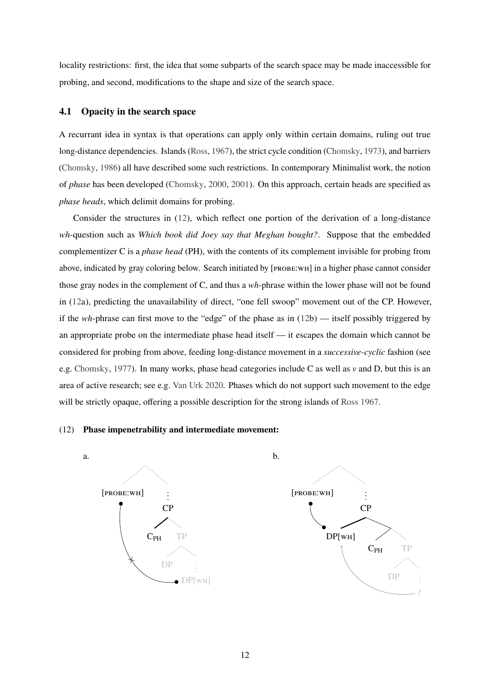locality restrictions: first, the idea that some subparts of the search space may be made inaccessible for probing, and second, modifications to the shape and size of the search space.

## <span id="page-11-0"></span>**4.1 Opacity in the search space**

A recurrant idea in syntax is that operations can apply only within certain domains, ruling out true long-distance dependencies. Islands [\(Ross,](#page-25-8) [1967\)](#page-25-8), the strict cycle condition [\(Chomsky,](#page-21-0) [1973\)](#page-21-0), and barriers [\(Chomsky,](#page-21-11) [1986\)](#page-21-11) all have described some such restrictions. In contemporary Minimalist work, the notion of *phase* has been developed [\(Chomsky,](#page-21-1) [2000,](#page-21-1) [2001\)](#page-21-2). On this approach, certain heads are specified as *phase heads*, which delimit domains for probing.

Consider the structures in [\(12\)](#page-11-0), which reflect one portion of the derivation of a long-distance *wh*-question such as *Which book did Joey say that Meghan bought?*. Suppose that the embedded complementizer C is a *phase head* (PH), with the contents of its complement invisible for probing from above, indicated by gray coloring below. Search initiated by [probe:wh] in a higher phase cannot consider those gray nodes in the complement of C, and thus a *wh*-phrase within the lower phase will not be found in [\(12a](#page-11-0)), predicting the unavailability of direct, "one fell swoop" movement out of the CP. However, if the *wh*-phrase can first move to the "edge" of the phase as in [\(12b](#page-11-0)) — itself possibly triggered by an appropriate probe on the intermediate phase head itself — it escapes the domain which cannot be considered for probing from above, feeding long-distance movement in a *successive-cyclic* fashion (see e.g. [Chomsky,](#page-21-12) [1977\)](#page-21-12). In many works, phase head categories include C as well as *v* and D, but this is an area of active research; see e.g. [Van Urk](#page-25-9) [2020.](#page-25-9) Phases which do not support such movement to the edge will be strictly opaque, offering a possible description for the strong islands of [Ross](#page-25-8) [1967.](#page-25-8)

### (12) **Phase impenetrability and intermediate movement:**

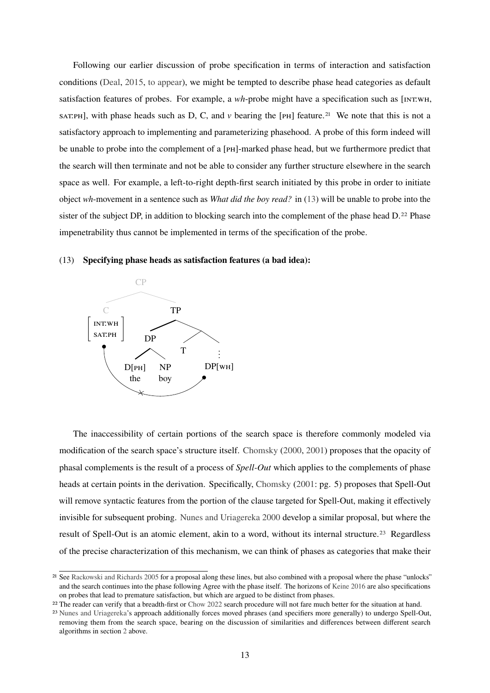Following our earlier discussion of probe specification in terms of interaction and satisfaction conditions [\(Deal,](#page-22-4) [2015,](#page-22-4) [to appear\)](#page-22-1), we might be tempted to describe phase head categories as default satisfaction features of probes. For example, a *wh*-probe might have a specification such as [INT:WH, sat:ph], with phase heads such as D, C, and  $\nu$  bearing the [p<sub>H</sub>] feature.<sup>[21](#page-12-1)</sup> We note that this is not a satisfactory approach to implementing and parameterizing phasehood. A probe of this form indeed will be unable to probe into the complement of a [p<sub>H</sub>]-marked phase head, but we furthermore predict that the search will then terminate and not be able to consider any further structure elsewhere in the search space as well. For example, a left-to-right depth-first search initiated by this probe in order to initiate object *wh*-movement in a sentence such as *What did the boy read?* in [\(13\)](#page-11-0) will be unable to probe into the sister of the subject DP, in addition to blocking search into the complement of the phase head D.<sup>[22](#page-12-2)</sup> Phase impenetrability thus cannot be implemented in terms of the specification of the probe.

### (13) **Specifying phase heads as satisfaction features (a bad idea):**



The inaccessibility of certain portions of the search space is therefore commonly modeled via modification of the search space's structure itself. [Chomsky](#page-21-1) [\(2000,](#page-21-1) [2001\)](#page-21-2) proposes that the opacity of phasal complements is the result of a process of *Spell-Out* which applies to the complements of phase heads at certain points in the derivation. Specifically, [Chomsky](#page-21-2) [\(2001:](#page-21-2) pg. 5) proposes that Spell-Out will remove syntactic features from the portion of the clause targeted for Spell-Out, making it effectively invisible for subsequent probing. [Nunes and Uriagereka](#page-24-7) [2000](#page-24-7) develop a similar proposal, but where the result of Spell-Out is an atomic element, akin to a word, without its internal structure.[23](#page-12-0) Regardless of the precise characterization of this mechanism, we can think of phases as categories that make their

<span id="page-12-1"></span><sup>21</sup> See [Rackowski and Richards](#page-25-10) [2005](#page-25-10) for a proposal along these lines, but also combined with a proposal where the phase "unlocks" and the search continues into the phase following Agree with the phase itself. The horizons of [Keine](#page-24-9) [2016](#page-24-9) are also specifications on probes that lead to premature satisfaction, but which are argued to be distinct from phases.

<span id="page-12-2"></span><sup>22</sup> The reader can verify that a breadth-first or [Chow](#page-21-6) [2022](#page-21-6) search procedure will not fare much better for the situation at hand.

<span id="page-12-0"></span><sup>23</sup> [Nunes and Uriagereka'](#page-24-7)s approach additionally forces moved phrases (and specifiers more generally) to undergo Spell-Out, removing them from the search space, bearing on the discussion of similarities and differences between different search algorithms in section [2](#page-2-0) above.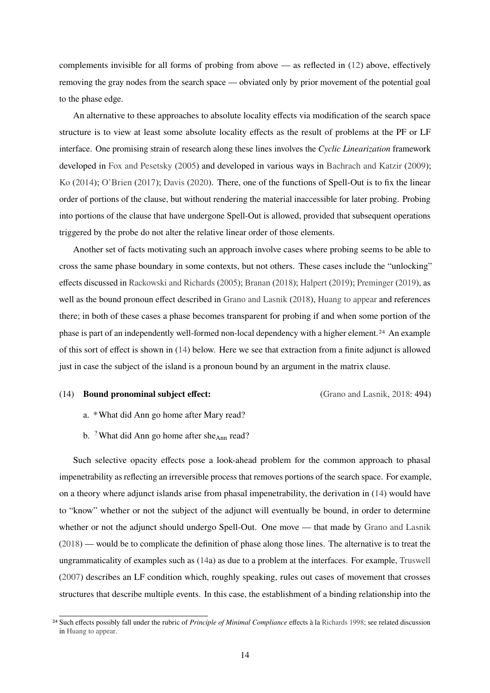complements invisible for all forms of probing from above — as reflected in [\(12\)](#page-11-0) above, effectively removing the gray nodes from the search space — obviated only by prior movement of the potential goal to the phase edge.

An alternative to these approaches to absolute locality effects via modification of the search space structure is to view at least some absolute locality effects as the result of problems at the PF or LF interface. One promising strain of research along these lines involves the *Cyclic Linearization* framework developed in [Fox and Pesetsky](#page-23-0) [\(2005\)](#page-23-0) and developed in various ways in [Bachrach and Katzir](#page-20-7) [\(2009\)](#page-20-7); [Ko](#page-24-12) [\(2014\)](#page-24-12); [O'Brien](#page-24-13) [\(2017\)](#page-24-13); [Davis](#page-22-8) [\(2020\)](#page-22-8). There, one of the functions of Spell-Out is to fix the linear order of portions of the clause, but without rendering the material inaccessible for later probing. Probing into portions of the clause that have undergone Spell-Out is allowed, provided that subsequent operations triggered by the probe do not alter the relative linear order of those elements.

Another set of facts motivating such an approach involve cases where probing seems to be able to cross the same phase boundary in some contexts, but not others. These cases include the "unlocking" effects discussed in [Rackowski and Richards](#page-25-10) [\(2005\)](#page-25-10); [Branan](#page-20-8) [\(2018\)](#page-20-8); [Halpert](#page-23-6) [\(2019\)](#page-23-6); [Preminger](#page-25-5) [\(2019\)](#page-25-5), as well as the bound pronoun effect described in [Grano and Lasnik](#page-23-8) [\(2018\)](#page-23-8), [Huang](#page-23-9) [to appear](#page-23-9) and references there; in both of these cases a phase becomes transparent for probing if and when some portion of the phase is part of an independently well-formed non-local dependency with a higher element.[24](#page-13-0) An example of this sort of effect is shown in [\(14\)](#page-11-0) below. Here we see that extraction from a finite adjunct is allowed just in case the subject of the island is a pronoun bound by an argument in the matrix clause.

### (14) **Bound pronominal subject effect:** [\(Grano and Lasnik,](#page-23-8) [2018:](#page-23-8) 494)

- a. \*What did Ann go home after Mary read?
- b. <sup>?</sup>What did Ann go home after she<sub>Ann</sub> read?

Such selective opacity effects pose a look-ahead problem for the common approach to phasal impenetrability as reflecting an irreversible process that removes portions of the search space. For example, on a theory where adjunct islands arise from phasal impenetrability, the derivation in [\(14\)](#page-11-0) would have to "know" whether or not the subject of the adjunct will eventually be bound, in order to determine whether or not the adjunct should undergo Spell-Out. One move — that made by [Grano and Lasnik](#page-23-8) [\(2018\)](#page-23-8) — would be to complicate the definition of phase along those lines. The alternative is to treat the ungrammaticality of examples such as [\(14a](#page-11-0)) as due to a problem at the interfaces. For example, [Truswell](#page-25-11) [\(2007\)](#page-25-11) describes an LF condition which, roughly speaking, rules out cases of movement that crosses structures that describe multiple events. In this case, the establishment of a binding relationship into the

<span id="page-13-0"></span><sup>24</sup> Such effects possibly fall under the rubric of *Principle of Minimal Compliance* effects à la [Richards](#page-25-12) [1998;](#page-25-12) see related discussion in [Huang](#page-23-9) [to appear.](#page-23-9)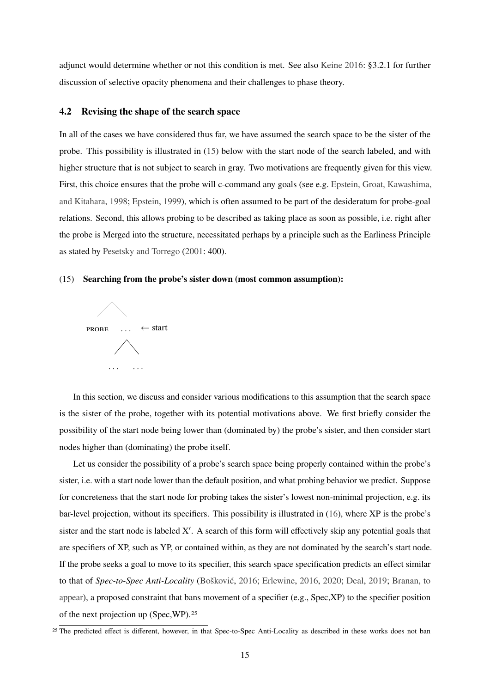adjunct would determine whether or not this condition is met. See also [Keine](#page-24-9) [2016:](#page-24-9) §3.2.1 for further discussion of selective opacity phenomena and their challenges to phase theory.

### <span id="page-14-0"></span>**4.2 Revising the shape of the search space**

In all of the cases we have considered thus far, we have assumed the search space to be the sister of the probe. This possibility is illustrated in [\(15\)](#page-14-0) below with the start node of the search labeled, and with higher structure that is not subject to search in gray. Two motivations are frequently given for this view. First, this choice ensures that the probe will c-command any goals (see e.g. [Epstein, Groat, Kawashima,](#page-22-9) [and Kitahara,](#page-22-9) [1998;](#page-22-9) [Epstein,](#page-22-10) [1999\)](#page-22-10), which is often assumed to be part of the desideratum for probe-goal relations. Second, this allows probing to be described as taking place as soon as possible, i.e. right after the probe is Merged into the structure, necessitated perhaps by a principle such as the Earliness Principle as stated by [Pesetsky and Torrego](#page-25-13) [\(2001:](#page-25-13) 400).

### (15) **Searching from the probe's sister down (most common assumption):**



In this section, we discuss and consider various modifications to this assumption that the search space is the sister of the probe, together with its potential motivations above. We first briefly consider the possibility of the start node being lower than (dominated by) the probe's sister, and then consider start nodes higher than (dominating) the probe itself.

Let us consider the possibility of a probe's search space being properly contained within the probe's sister, i.e. with a start node lower than the default position, and what probing behavior we predict. Suppose for concreteness that the start node for probing takes the sister's lowest non-minimal projection, e.g. its bar-level projection, without its specifiers. This possibility is illustrated in [\(16\)](#page-14-0), where XP is the probe's sister and the start node is labeled  $X'$ . A search of this form will effectively skip any potential goals that are specifiers of XP, such as YP, or contained within, as they are not dominated by the search's start node. If the probe seeks a goal to move to its specifier, this search space specification predicts an effect similar to that of *Spec-to-Spec Anti-Locality* [\(Bošković,](#page-20-9) [2016;](#page-20-9) [Erlewine,](#page-22-11) [2016,](#page-22-11) [2020;](#page-22-12) [Deal,](#page-22-13) [2019;](#page-22-13) [Branan,](#page-20-10) [to](#page-20-10) [appear\)](#page-20-10), a proposed constraint that bans movement of a specifier (e.g., Spec,XP) to the specifier position of the next projection up (Spec,WP).[25](#page-14-1)

<span id="page-14-1"></span><sup>&</sup>lt;sup>25</sup> The predicted effect is different, however, in that Spec-to-Spec Anti-Locality as described in these works does not ban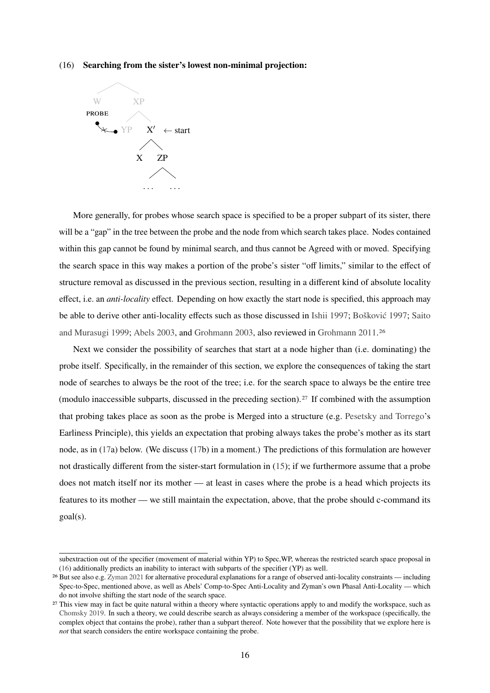### (16) **Searching from the sister's lowest non-minimal projection:**



More generally, for probes whose search space is specified to be a proper subpart of its sister, there will be a "gap" in the tree between the probe and the node from which search takes place. Nodes contained within this gap cannot be found by minimal search, and thus cannot be Agreed with or moved. Specifying the search space in this way makes a portion of the probe's sister "off limits," similar to the effect of structure removal as discussed in the previous section, resulting in a different kind of absolute locality effect, i.e. an *anti-locality* effect. Depending on how exactly the start node is specified, this approach may be able to derive other anti-locality effects such as those discussed in [Ishii](#page-23-10) [1997;](#page-23-10) [Bošković](#page-20-11) [1997;](#page-20-11) [Saito](#page-25-14) [and Murasugi](#page-25-14) [1999;](#page-25-14) [Abels](#page-20-12) [2003,](#page-20-12) and [Grohmann](#page-23-11) [2003,](#page-23-11) also reviewed in [Grohmann](#page-23-12) [2011.](#page-23-12)[26](#page-15-0)

Next we consider the possibility of searches that start at a node higher than (i.e. dominating) the probe itself. Specifically, in the remainder of this section, we explore the consequences of taking the start node of searches to always be the root of the tree; i.e. for the search space to always be the entire tree (modulo inaccessible subparts, discussed in the preceding section).[27](#page-15-1) If combined with the assumption that probing takes place as soon as the probe is Merged into a structure (e.g. [Pesetsky and Torrego'](#page-25-13)s Earliness Principle), this yields an expectation that probing always takes the probe's mother as its start node, as in [\(17a](#page-14-0)) below. (We discuss [\(17b](#page-14-0)) in a moment.) The predictions of this formulation are however not drastically different from the sister-start formulation in [\(15\)](#page-14-0); if we furthermore assume that a probe does not match itself nor its mother — at least in cases where the probe is a head which projects its features to its mother — we still maintain the expectation, above, that the probe should c-command its goal(s).

subextraction out of the specifier (movement of material within YP) to Spec,WP, whereas the restricted search space proposal in [\(16\)](#page-14-0) additionally predicts an inability to interact with subparts of the specifier (YP) as well.

<span id="page-15-0"></span><sup>26</sup> But see also e.g. [Zyman](#page-26-2) [2021](#page-26-2) for alternative procedural explanations for a range of observed anti-locality constraints — including Spec-to-Spec, mentioned above, as well as Abels' Comp-to-Spec Anti-Locality and Zyman's own Phasal Anti-Locality — which do not involve shifting the start node of the search space.

<span id="page-15-1"></span><sup>&</sup>lt;sup>27</sup> This view may in fact be quite natural within a theory where syntactic operations apply to and modify the workspace, such as [Chomsky](#page-21-13) [2019.](#page-21-13) In such a theory, we could describe search as always considering a member of the workspace (specifically, the complex object that contains the probe), rather than a subpart thereof. Note however that the possibility that we explore here is *not* that search considers the entire workspace containing the probe.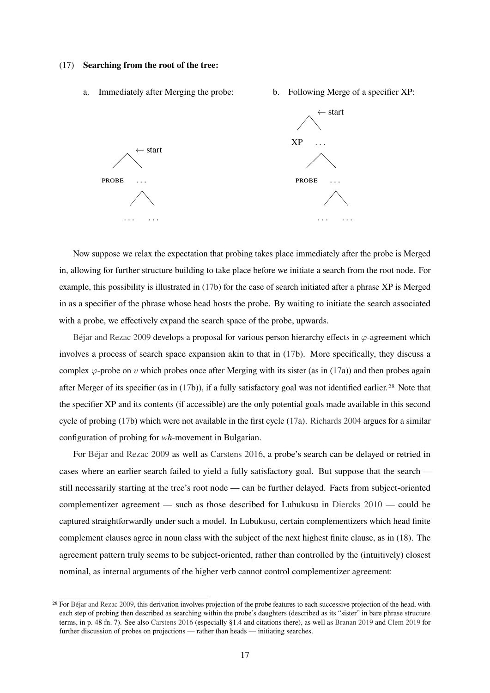### (17) **Searching from the root of the tree:**



Now suppose we relax the expectation that probing takes place immediately after the probe is Merged in, allowing for further structure building to take place before we initiate a search from the root node. For example, this possibility is illustrated in [\(17b](#page-14-0)) for the case of search initiated after a phrase XP is Merged in as a specifier of the phrase whose head hosts the probe. By waiting to initiate the search associated with a probe, we effectively expand the search space of the probe, upwards.

[Béjar and Rezac](#page-21-14) [2009](#page-21-14) develops a proposal for various person hierarchy effects in  $\varphi$ -agreement which involves a process of search space expansion akin to that in [\(17b](#page-14-0)). More specifically, they discuss a complex  $\varphi$ -probe on v which probes once after Merging with its sister (as in [\(17a](#page-14-0))) and then probes again after Merger of its specifier (as in [\(17b](#page-14-0))), if a fully satisfactory goal was not identified earlier.[28](#page-16-0) Note that the specifier XP and its contents (if accessible) are the only potential goals made available in this second cycle of probing [\(17b](#page-14-0)) which were not available in the first cycle [\(17a](#page-14-0)). [Richards](#page-25-15) [2004](#page-25-15) argues for a similar configuration of probing for *wh*-movement in Bulgarian.

For [Béjar and Rezac](#page-21-14) [2009](#page-21-14) as well as [Carstens](#page-21-15) [2016,](#page-21-15) a probe's search can be delayed or retried in cases where an earlier search failed to yield a fully satisfactory goal. But suppose that the search still necessarily starting at the tree's root node — can be further delayed. Facts from subject-oriented complementizer agreement — such as those described for Lubukusu in [Diercks](#page-22-14) [2010](#page-22-14) — could be captured straightforwardly under such a model. In Lubukusu, certain complementizers which head finite complement clauses agree in noun class with the subject of the next highest finite clause, as in (18). The agreement pattern truly seems to be subject-oriented, rather than controlled by the (intuitively) closest nominal, as internal arguments of the higher verb cannot control complementizer agreement:

<span id="page-16-0"></span><sup>&</sup>lt;sup>28</sup> For [Béjar and Rezac](#page-21-14) [2009,](#page-21-14) this derivation involves projection of the probe features to each successive projection of the head, with each step of probing then described as searching within the probe's daughters (described as its "sister" in bare phrase structure terms, in p. 48 fn. 7). See also [Carstens](#page-21-15) [2016](#page-21-15) (especially §1.4 and citations there), as well as [Branan](#page-20-13) [2019](#page-20-13) and [Clem](#page-22-15) [2019](#page-22-15) for further discussion of probes on projections — rather than heads — initiating searches.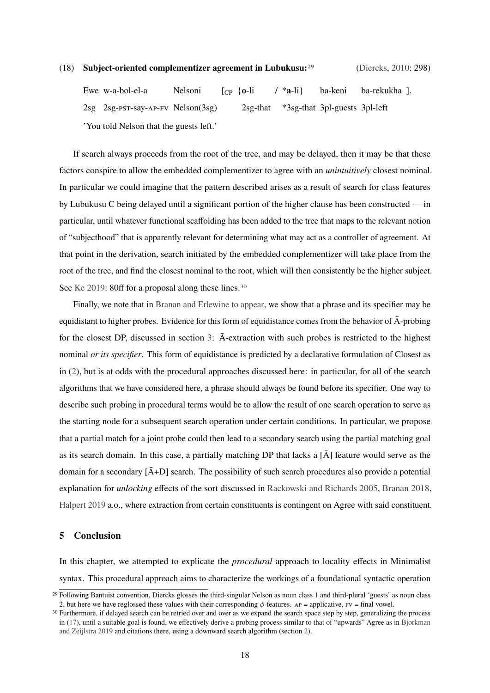## (18) **Subject-oriented complementizer agreement in Lubukusu:**[29](#page-17-2) [\(Diercks,](#page-22-14) [2010:](#page-22-14) 298)

Ewe w-a-bol-el-a 2sg 2sg-pst-say-ap-fv Nelson(3sg) Nelsoni  $[CP \{o-li$ 2sg-that / \***a**-li} \*3sg-that 3pl-guests 3pl-left ba-keni ba-rekukha 1. 'You told Nelson that the guests left.'

If search always proceeds from the root of the tree, and may be delayed, then it may be that these factors conspire to allow the embedded complementizer to agree with an *unintuitively* closest nominal. In particular we could imagine that the pattern described arises as a result of search for class features by Lubukusu C being delayed until a significant portion of the higher clause has been constructed — in particular, until whatever functional scaffolding has been added to the tree that maps to the relevant notion of "subjecthood" that is apparently relevant for determining what may act as a controller of agreement. At that point in the derivation, search initiated by the embedded complementizer will take place from the root of the tree, and find the closest nominal to the root, which will then consistently be the higher subject. See [Ke](#page-23-1) [2019:](#page-23-1) 80ff for a proposal along these lines.<sup>[30](#page-17-1)</sup>

Finally, we note that in [Branan and Erlewine](#page-21-10) [to appear,](#page-21-10) we show that a phrase and its specifier may be equidistant to higher probes. Evidence for this form of equidistance comes from the behavior of  $\bar{A}$ -probing for the closest DP, discussed in section [3:](#page-7-0)  $\bar{A}$ -extraction with such probes is restricted to the highest nominal *or its specifier*. This form of equidistance is predicted by a declarative formulation of Closest as in [\(2\)](#page-0-3), but is at odds with the procedural approaches discussed here: in particular, for all of the search algorithms that we have considered here, a phrase should always be found before its specifier. One way to describe such probing in procedural terms would be to allow the result of one search operation to serve as the starting node for a subsequent search operation under certain conditions. In particular, we propose that a partial match for a joint probe could then lead to a secondary search using the partial matching goal as its search domain. In this case, a partially matching DP that lacks a  $\overline{A}$  feature would serve as the domain for a secondary  $\left[ \bar{A}+D \right]$  search. The possibility of such search procedures also provide a potential explanation for *unlocking* effects of the sort discussed in [Rackowski and Richards](#page-25-10) [2005,](#page-25-10) [Branan](#page-20-8) [2018,](#page-20-8) [Halpert](#page-23-6) [2019](#page-23-6) a.o., where extraction from certain constituents is contingent on Agree with said constituent.

### <span id="page-17-0"></span>**5 Conclusion**

In this chapter, we attempted to explicate the *procedural* approach to locality effects in Minimalist syntax. This procedural approach aims to characterize the workings of a foundational syntactic operation

<span id="page-17-2"></span><sup>29</sup> Following Bantuist convention, Diercks glosses the third-singular Nelson as noun class 1 and third-plural 'guests' as noun class 2, but here we have reglossed these values with their corresponding  $\phi$ -features. Ap = applicative, FV = final vowel.

<span id="page-17-1"></span><sup>&</sup>lt;sup>30</sup> Furthermore, if delayed search can be retried over and over as we expand the search space step by step, generalizing the process in [\(17\)](#page-14-0), until a suitable goal is found, we effectively derive a probing process similar to that of "upwards" Agree as in [Bjorkman](#page-20-4) [and Zeijlstra](#page-20-4) [2019](#page-20-4) and citations there, using a downward search algorithm (section [2\)](#page-2-0).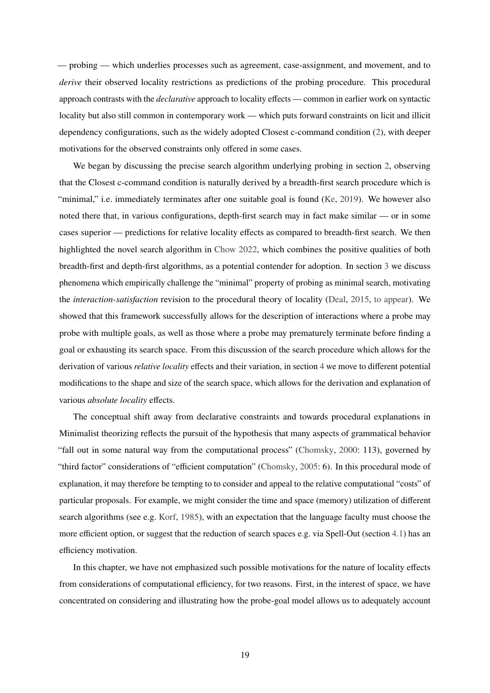— probing — which underlies processes such as agreement, case-assignment, and movement, and to *derive* their observed locality restrictions as predictions of the probing procedure. This procedural approach contrasts with the *declarative* approach to locality effects — common in earlier work on syntactic locality but also still common in contemporary work — which puts forward constraints on licit and illicit dependency configurations, such as the widely adopted Closest c-command condition [\(2\)](#page-0-3), with deeper motivations for the observed constraints only offered in some cases.

We began by discussing the precise search algorithm underlying probing in section [2,](#page-2-0) observing that the Closest c-command condition is naturally derived by a breadth-first search procedure which is "minimal," i.e. immediately terminates after one suitable goal is found [\(Ke,](#page-23-1) [2019\)](#page-23-1). We however also noted there that, in various configurations, depth-first search may in fact make similar — or in some cases superior — predictions for relative locality effects as compared to breadth-first search. We then highlighted the novel search algorithm in [Chow](#page-21-6) [2022,](#page-21-6) which combines the positive qualities of both breadth-first and depth-first algorithms, as a potential contender for adoption. In section [3](#page-7-0) we discuss phenomena which empirically challenge the "minimal" property of probing as minimal search, motivating the *interaction-satisfaction* revision to the procedural theory of locality [\(Deal,](#page-22-4) [2015,](#page-22-4) [to appear\)](#page-22-1). We showed that this framework successfully allows for the description of interactions where a probe may probe with multiple goals, as well as those where a probe may prematurely terminate before finding a goal or exhausting its search space. From this discussion of the search procedure which allows for the derivation of various *relative locality* effects and their variation, in section [4](#page-10-0) we move to different potential modifications to the shape and size of the search space, which allows for the derivation and explanation of various *absolute locality* effects.

The conceptual shift away from declarative constraints and towards procedural explanations in Minimalist theorizing reflects the pursuit of the hypothesis that many aspects of grammatical behavior "fall out in some natural way from the computational process" [\(Chomsky,](#page-21-1) [2000:](#page-21-1) 113), governed by "third factor" considerations of "efficient computation" [\(Chomsky,](#page-21-16) [2005:](#page-21-16) 6). In this procedural mode of explanation, it may therefore be tempting to to consider and appeal to the relative computational "costs" of particular proposals. For example, we might consider the time and space (memory) utilization of different search algorithms (see e.g. [Korf,](#page-24-14) [1985\)](#page-24-14), with an expectation that the language faculty must choose the more efficient option, or suggest that the reduction of search spaces e.g. via Spell-Out (section [4.1\)](#page-11-0) has an efficiency motivation.

In this chapter, we have not emphasized such possible motivations for the nature of locality effects from considerations of computational efficiency, for two reasons. First, in the interest of space, we have concentrated on considering and illustrating how the probe-goal model allows us to adequately account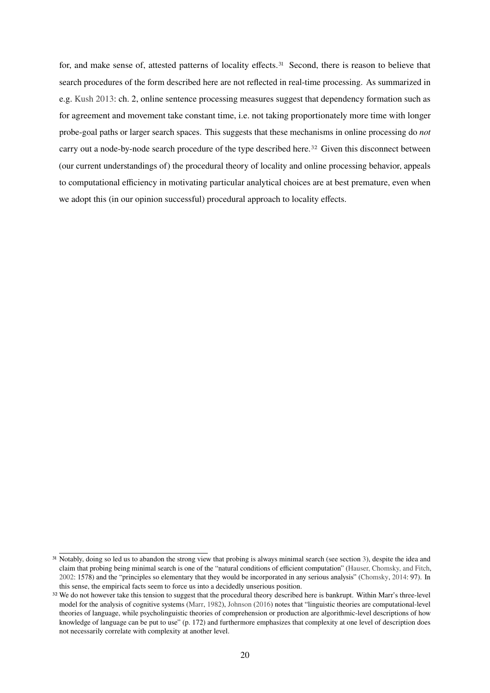for, and make sense of, attested patterns of locality effects.[31](#page-19-0) Second, there is reason to believe that search procedures of the form described here are not reflected in real-time processing. As summarized in e.g. [Kush](#page-24-3) [2013:](#page-24-3) ch. 2, online sentence processing measures suggest that dependency formation such as for agreement and movement take constant time, i.e. not taking proportionately more time with longer probe-goal paths or larger search spaces. This suggests that these mechanisms in online processing do *not* carry out a node-by-node search procedure of the type described here.[32](#page-19-1) Given this disconnect between (our current understandings of) the procedural theory of locality and online processing behavior, appeals to computational efficiency in motivating particular analytical choices are at best premature, even when we adopt this (in our opinion successful) procedural approach to locality effects.

<span id="page-19-0"></span><sup>&</sup>lt;sup>31</sup> Notably, doing so led us to abandon the strong view that probing is always minimal search (see section [3\)](#page-7-0), despite the idea and claim that probing being minimal search is one of the "natural conditions of efficient computation" [\(Hauser, Chomsky, and Fitch,](#page-23-13) [2002:](#page-23-13) 1578) and the "principles so elementary that they would be incorporated in any serious analysis" [\(Chomsky,](#page-21-17) [2014:](#page-21-17) 97). In this sense, the empirical facts seem to force us into a decidedly unserious position.

<span id="page-19-1"></span><sup>&</sup>lt;sup>32</sup> We do not however take this tension to suggest that the procedural theory described here is bankrupt. Within Marr's three-level model for the analysis of cognitive systems [\(Marr,](#page-24-15) [1982\)](#page-24-15), [Johnson](#page-23-14) [\(2016\)](#page-23-14) notes that "linguistic theories are computational-level theories of language, while psycholinguistic theories of comprehension or production are algorithmic-level descriptions of how knowledge of language can be put to use" (p. 172) and furthermore emphasizes that complexity at one level of description does not necessarily correlate with complexity at another level.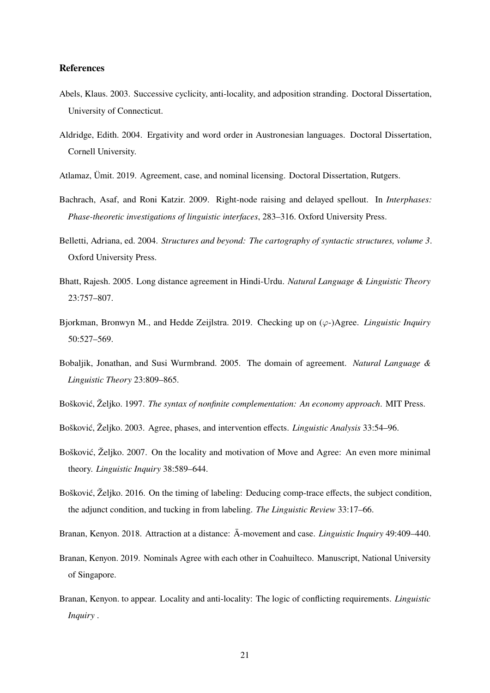## **References**

- <span id="page-20-12"></span>Abels, Klaus. 2003. Successive cyclicity, anti-locality, and adposition stranding. Doctoral Dissertation, University of Connecticut.
- <span id="page-20-6"></span>Aldridge, Edith. 2004. Ergativity and word order in Austronesian languages. Doctoral Dissertation, Cornell University.
- <span id="page-20-5"></span>Atlamaz, Ümit. 2019. Agreement, case, and nominal licensing. Doctoral Dissertation, Rutgers.
- <span id="page-20-7"></span>Bachrach, Asaf, and Roni Katzir. 2009. Right-node raising and delayed spellout. In *Interphases: Phase-theoretic investigations of linguistic interfaces*, 283–316. Oxford University Press.
- <span id="page-20-14"></span>Belletti, Adriana, ed. 2004. *Structures and beyond: The cartography of syntactic structures, volume 3*. Oxford University Press.
- <span id="page-20-3"></span>Bhatt, Rajesh. 2005. Long distance agreement in Hindi-Urdu. *Natural Language & Linguistic Theory* 23:757–807.
- <span id="page-20-4"></span>Bjorkman, Bronwyn M., and Hedde Zeijlstra. 2019. Checking up on (ϕ-)Agree. *Linguistic Inquiry* 50:527–569.
- <span id="page-20-2"></span>Bobaljik, Jonathan, and Susi Wurmbrand. 2005. The domain of agreement. *Natural Language & Linguistic Theory* 23:809–865.
- <span id="page-20-11"></span>Bošković, Željko. 1997. *The syntax of nonfinite complementation: An economy approach*. MIT Press.
- <span id="page-20-0"></span>Bošković, Željko. 2003. Agree, phases, and intervention effects. *Linguistic Analysis* 33:54–96.
- <span id="page-20-1"></span>Bošković, Željko. 2007. On the locality and motivation of Move and Agree: An even more minimal theory. *Linguistic Inquiry* 38:589–644.
- <span id="page-20-9"></span>Bošković, Željko. 2016. On the timing of labeling: Deducing comp-trace effects, the subject condition, the adjunct condition, and tucking in from labeling. *The Linguistic Review* 33:17–66.
- <span id="page-20-8"></span>Branan, Kenyon. 2018. Attraction at a distance: A-movement and case. *Linguistic Inquiry* 49:409–440.
- <span id="page-20-13"></span>Branan, Kenyon. 2019. Nominals Agree with each other in Coahuilteco. Manuscript, National University of Singapore.
- <span id="page-20-10"></span>Branan, Kenyon. to appear. Locality and anti-locality: The logic of conflicting requirements. *Linguistic Inquiry* .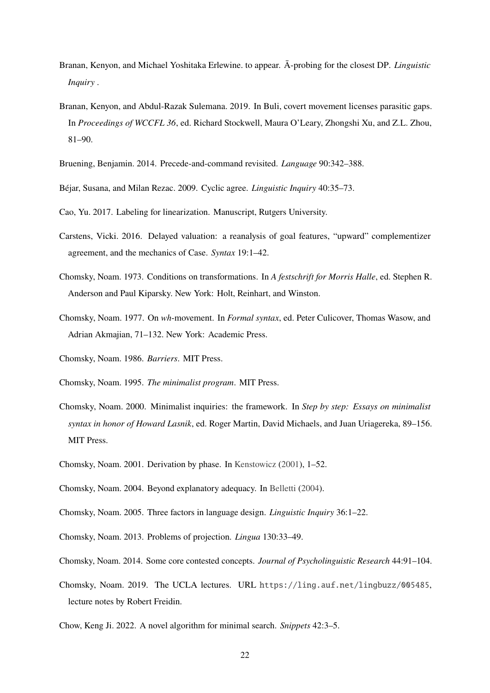- <span id="page-21-10"></span>Branan, Kenyon, and Michael Yoshitaka Erlewine. to appear. A-probing for the closest DP. *Linguistic Inquiry* .
- <span id="page-21-8"></span>Branan, Kenyon, and Abdul-Razak Sulemana. 2019. In Buli, covert movement licenses parasitic gaps. In *Proceedings of WCCFL 36*, ed. Richard Stockwell, Maura O'Leary, Zhongshi Xu, and Z.L. Zhou, 81–90.
- <span id="page-21-7"></span>Bruening, Benjamin. 2014. Precede-and-command revisited. *Language* 90:342–388.
- <span id="page-21-14"></span>Béjar, Susana, and Milan Rezac. 2009. Cyclic agree. *Linguistic Inquiry* 40:35–73.
- <span id="page-21-9"></span>Cao, Yu. 2017. Labeling for linearization. Manuscript, Rutgers University.
- <span id="page-21-15"></span>Carstens, Vicki. 2016. Delayed valuation: a reanalysis of goal features, "upward" complementizer agreement, and the mechanics of Case. *Syntax* 19:1–42.
- <span id="page-21-0"></span>Chomsky, Noam. 1973. Conditions on transformations. In *A festschrift for Morris Halle*, ed. Stephen R. Anderson and Paul Kiparsky. New York: Holt, Reinhart, and Winston.
- <span id="page-21-12"></span>Chomsky, Noam. 1977. On *wh*-movement. In *Formal syntax*, ed. Peter Culicover, Thomas Wasow, and Adrian Akmajian, 71–132. New York: Academic Press.
- <span id="page-21-11"></span>Chomsky, Noam. 1986. *Barriers*. MIT Press.
- <span id="page-21-4"></span>Chomsky, Noam. 1995. *The minimalist program*. MIT Press.
- <span id="page-21-1"></span>Chomsky, Noam. 2000. Minimalist inquiries: the framework. In *Step by step: Essays on minimalist syntax in honor of Howard Lasnik*, ed. Roger Martin, David Michaels, and Juan Uriagereka, 89–156. MIT Press.
- <span id="page-21-2"></span>Chomsky, Noam. 2001. Derivation by phase. In [Kenstowicz](#page-24-16) [\(2001\)](#page-24-16), 1–52.
- <span id="page-21-5"></span>Chomsky, Noam. 2004. Beyond explanatory adequacy. In [Belletti](#page-20-14) [\(2004\)](#page-20-14).
- <span id="page-21-16"></span>Chomsky, Noam. 2005. Three factors in language design. *Linguistic Inquiry* 36:1–22.
- <span id="page-21-3"></span>Chomsky, Noam. 2013. Problems of projection. *Lingua* 130:33–49.
- <span id="page-21-17"></span>Chomsky, Noam. 2014. Some core contested concepts. *Journal of Psycholinguistic Research* 44:91–104.
- <span id="page-21-13"></span>Chomsky, Noam. 2019. The UCLA lectures. URL <https://ling.auf.net/lingbuzz/005485>, lecture notes by Robert Freidin.
- <span id="page-21-6"></span>Chow, Keng Ji. 2022. A novel algorithm for minimal search. *Snippets* 42:3–5.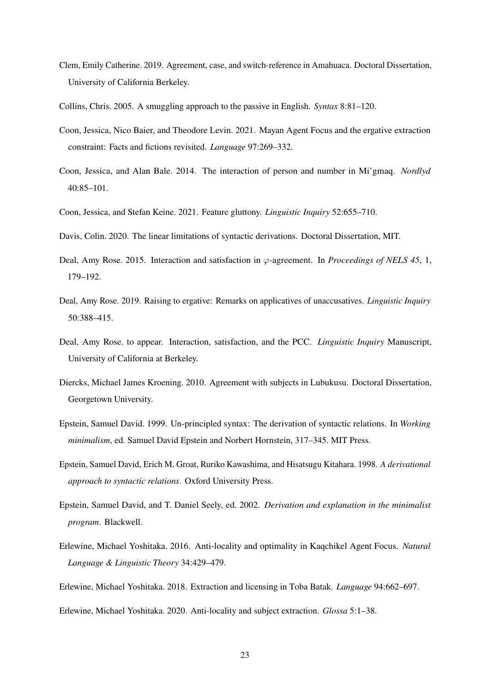- <span id="page-22-15"></span>Clem, Emily Catherine. 2019. Agreement, case, and switch-reference in Amahuaca. Doctoral Dissertation, University of California Berkeley.
- <span id="page-22-3"></span>Collins, Chris. 2005. A smuggling approach to the passive in English. *Syntax* 8:81–120.
- <span id="page-22-7"></span>Coon, Jessica, Nico Baier, and Theodore Levin. 2021. Mayan Agent Focus and the ergative extraction constraint: Facts and fictions revisited. *Language* 97:269–332.
- <span id="page-22-6"></span>Coon, Jessica, and Alan Bale. 2014. The interaction of person and number in Mi'gmaq. *Nordlyd*  $40.85 - 101$
- <span id="page-22-5"></span>Coon, Jessica, and Stefan Keine. 2021. Feature gluttony. *Linguistic Inquiry* 52:655–710.
- <span id="page-22-8"></span>Davis, Colin. 2020. The linear limitations of syntactic derivations. Doctoral Dissertation, MIT.
- <span id="page-22-4"></span>Deal, Amy Rose. 2015. Interaction and satisfaction in  $\varphi$ -agreement. In *Proceedings of NELS 45*, 1, 179–192.
- <span id="page-22-13"></span>Deal, Amy Rose. 2019. Raising to ergative: Remarks on applicatives of unaccusatives. *Linguistic Inquiry* 50:388–415.
- <span id="page-22-1"></span>Deal, Amy Rose. to appear. Interaction, satisfaction, and the PCC. *Linguistic Inquiry* Manuscript, University of California at Berkeley.
- <span id="page-22-14"></span>Diercks, Michael James Kroening. 2010. Agreement with subjects in Lubukusu. Doctoral Dissertation, Georgetown University.
- <span id="page-22-10"></span>Epstein, Samuel David. 1999. Un-principled syntax: The derivation of syntactic relations. In *Working minimalism*, ed. Samuel David Epstein and Norbert Hornstein, 317–345. MIT Press.
- <span id="page-22-9"></span>Epstein, Samuel David, Erich M. Groat, Ruriko Kawashima, and Hisatsugu Kitahara. 1998. *A derivational approach to syntactic relations*. Oxford University Press.
- <span id="page-22-2"></span>Epstein, Samuel David, and T. Daniel Seely, ed. 2002. *Derivation and explanation in the minimalist program*. Blackwell.
- <span id="page-22-11"></span>Erlewine, Michael Yoshitaka. 2016. Anti-locality and optimality in Kaqchikel Agent Focus. *Natural Language & Linguistic Theory* 34:429–479.

<span id="page-22-0"></span>Erlewine, Michael Yoshitaka. 2018. Extraction and licensing in Toba Batak. *Language* 94:662–697.

<span id="page-22-12"></span>Erlewine, Michael Yoshitaka. 2020. Anti-locality and subject extraction. *Glossa* 5:1–38.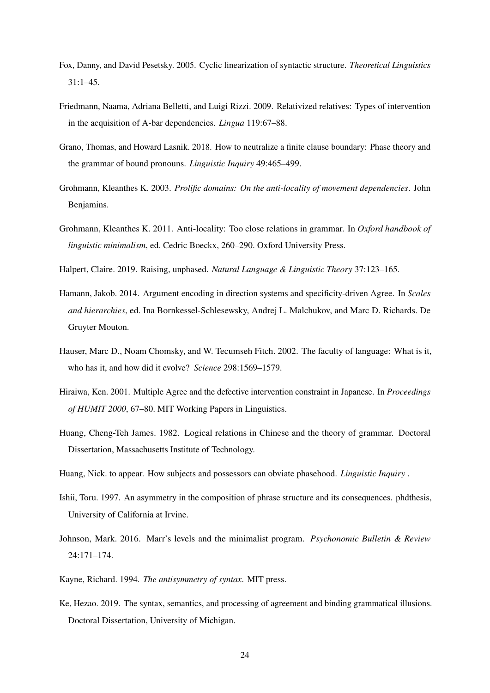- <span id="page-23-0"></span>Fox, Danny, and David Pesetsky. 2005. Cyclic linearization of syntactic structure. *Theoretical Linguistics* 31:1–45.
- <span id="page-23-7"></span>Friedmann, Naama, Adriana Belletti, and Luigi Rizzi. 2009. Relativized relatives: Types of intervention in the acquisition of A-bar dependencies. *Lingua* 119:67–88.
- <span id="page-23-8"></span>Grano, Thomas, and Howard Lasnik. 2018. How to neutralize a finite clause boundary: Phase theory and the grammar of bound pronouns. *Linguistic Inquiry* 49:465–499.
- <span id="page-23-11"></span>Grohmann, Kleanthes K. 2003. *Prolific domains: On the anti-locality of movement dependencies*. John Benjamins.
- <span id="page-23-12"></span>Grohmann, Kleanthes K. 2011. Anti-locality: Too close relations in grammar. In *Oxford handbook of linguistic minimalism*, ed. Cedric Boeckx, 260–290. Oxford University Press.
- <span id="page-23-6"></span>Halpert, Claire. 2019. Raising, unphased. *Natural Language & Linguistic Theory* 37:123–165.
- <span id="page-23-5"></span>Hamann, Jakob. 2014. Argument encoding in direction systems and specificity-driven Agree. In *Scales and hierarchies*, ed. Ina Bornkessel-Schlesewsky, Andrej L. Malchukov, and Marc D. Richards. De Gruyter Mouton.
- <span id="page-23-13"></span>Hauser, Marc D., Noam Chomsky, and W. Tecumseh Fitch. 2002. The faculty of language: What is it, who has it, and how did it evolve? *Science* 298:1569–1579.
- <span id="page-23-4"></span>Hiraiwa, Ken. 2001. Multiple Agree and the defective intervention constraint in Japanese. In *Proceedings of HUMIT 2000*, 67–80. MIT Working Papers in Linguistics.
- <span id="page-23-3"></span>Huang, Cheng-Teh James. 1982. Logical relations in Chinese and the theory of grammar. Doctoral Dissertation, Massachusetts Institute of Technology.
- <span id="page-23-9"></span>Huang, Nick. to appear. How subjects and possessors can obviate phasehood. *Linguistic Inquiry* .
- <span id="page-23-10"></span>Ishii, Toru. 1997. An asymmetry in the composition of phrase structure and its consequences. phdthesis, University of California at Irvine.
- <span id="page-23-14"></span>Johnson, Mark. 2016. Marr's levels and the minimalist program. *Psychonomic Bulletin & Review* 24:171–174.
- <span id="page-23-2"></span>Kayne, Richard. 1994. *The antisymmetry of syntax*. MIT press.
- <span id="page-23-1"></span>Ke, Hezao. 2019. The syntax, semantics, and processing of agreement and binding grammatical illusions. Doctoral Dissertation, University of Michigan.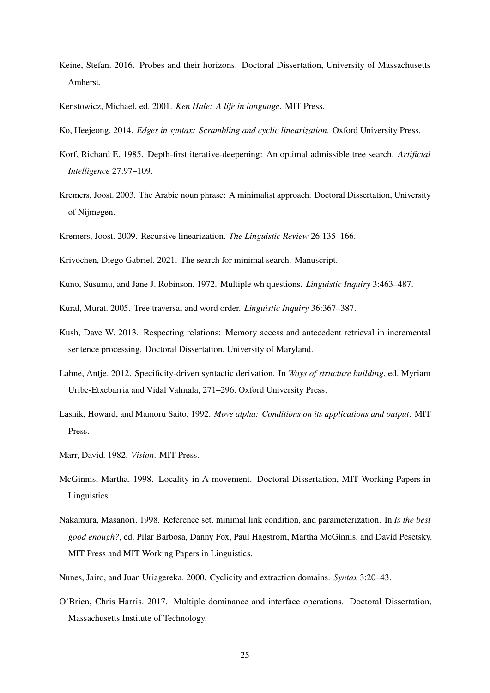- <span id="page-24-9"></span>Keine, Stefan. 2016. Probes and their horizons. Doctoral Dissertation, University of Massachusetts Amherst.
- <span id="page-24-16"></span>Kenstowicz, Michael, ed. 2001. *Ken Hale: A life in language*. MIT Press.
- <span id="page-24-12"></span>Ko, Heejeong. 2014. *Edges in syntax: Scrambling and cyclic linearization*. Oxford University Press.
- <span id="page-24-14"></span>Korf, Richard E. 1985. Depth-first iterative-deepening: An optimal admissible tree search. *Artificial Intelligence* 27:97–109.
- <span id="page-24-4"></span>Kremers, Joost. 2003. The Arabic noun phrase: A minimalist approach. Doctoral Dissertation, University of Nijmegen.
- <span id="page-24-5"></span>Kremers, Joost. 2009. Recursive linearization. *The Linguistic Review* 26:135–166.
- <span id="page-24-8"></span>Krivochen, Diego Gabriel. 2021. The search for minimal search. Manuscript.
- <span id="page-24-0"></span>Kuno, Susumu, and Jane J. Robinson. 1972. Multiple wh questions. *Linguistic Inquiry* 3:463–487.
- <span id="page-24-6"></span>Kural, Murat. 2005. Tree traversal and word order. *Linguistic Inquiry* 36:367–387.
- <span id="page-24-3"></span>Kush, Dave W. 2013. Respecting relations: Memory access and antecedent retrieval in incremental sentence processing. Doctoral Dissertation, University of Maryland.
- <span id="page-24-10"></span>Lahne, Antje. 2012. Specificity-driven syntactic derivation. In *Ways of structure building*, ed. Myriam Uribe-Etxebarria and Vidal Valmala, 271–296. Oxford University Press.
- <span id="page-24-1"></span>Lasnik, Howard, and Mamoru Saito. 1992. *Move alpha: Conditions on its applications and output*. MIT Press.
- <span id="page-24-15"></span>Marr, David. 1982. *Vision*. MIT Press.
- <span id="page-24-11"></span>McGinnis, Martha. 1998. Locality in A-movement. Doctoral Dissertation, MIT Working Papers in Linguistics.
- <span id="page-24-2"></span>Nakamura, Masanori. 1998. Reference set, minimal link condition, and parameterization. In *Is the best good enough?*, ed. Pilar Barbosa, Danny Fox, Paul Hagstrom, Martha McGinnis, and David Pesetsky. MIT Press and MIT Working Papers in Linguistics.
- <span id="page-24-7"></span>Nunes, Jairo, and Juan Uriagereka. 2000. Cyclicity and extraction domains. *Syntax* 3:20–43.
- <span id="page-24-13"></span>O'Brien, Chris Harris. 2017. Multiple dominance and interface operations. Doctoral Dissertation, Massachusetts Institute of Technology.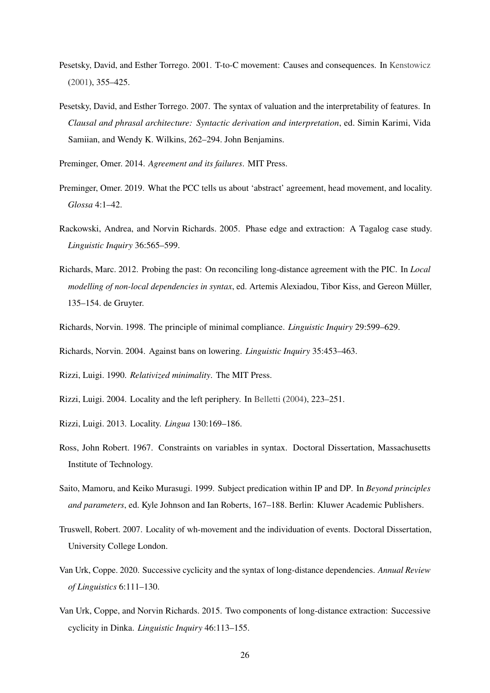- <span id="page-25-13"></span>Pesetsky, David, and Esther Torrego. 2001. T-to-C movement: Causes and consequences. In [Kenstowicz](#page-24-16) [\(2001\)](#page-24-16), 355–425.
- <span id="page-25-2"></span>Pesetsky, David, and Esther Torrego. 2007. The syntax of valuation and the interpretability of features. In *Clausal and phrasal architecture: Syntactic derivation and interpretation*, ed. Simin Karimi, Vida Samiian, and Wendy K. Wilkins, 262–294. John Benjamins.

<span id="page-25-0"></span>Preminger, Omer. 2014. *Agreement and its failures*. MIT Press.

- <span id="page-25-5"></span>Preminger, Omer. 2019. What the PCC tells us about 'abstract' agreement, head movement, and locality. *Glossa* 4:1–42.
- <span id="page-25-10"></span>Rackowski, Andrea, and Norvin Richards. 2005. Phase edge and extraction: A Tagalog case study. *Linguistic Inquiry* 36:565–599.
- <span id="page-25-1"></span>Richards, Marc. 2012. Probing the past: On reconciling long-distance agreement with the PIC. In *Local modelling of non-local dependencies in syntax*, ed. Artemis Alexiadou, Tibor Kiss, and Gereon Müller, 135–154. de Gruyter.
- <span id="page-25-12"></span>Richards, Norvin. 1998. The principle of minimal compliance. *Linguistic Inquiry* 29:599–629.

<span id="page-25-15"></span>Richards, Norvin. 2004. Against bans on lowering. *Linguistic Inquiry* 35:453–463.

<span id="page-25-3"></span>Rizzi, Luigi. 1990. *Relativized minimality*. The MIT Press.

- <span id="page-25-4"></span>Rizzi, Luigi. 2004. Locality and the left periphery. In [Belletti](#page-20-14) [\(2004\)](#page-20-14), 223–251.
- <span id="page-25-7"></span>Rizzi, Luigi. 2013. Locality. *Lingua* 130:169–186.
- <span id="page-25-8"></span>Ross, John Robert. 1967. Constraints on variables in syntax. Doctoral Dissertation, Massachusetts Institute of Technology.
- <span id="page-25-14"></span>Saito, Mamoru, and Keiko Murasugi. 1999. Subject predication within IP and DP. In *Beyond principles and parameters*, ed. Kyle Johnson and Ian Roberts, 167–188. Berlin: Kluwer Academic Publishers.
- <span id="page-25-11"></span>Truswell, Robert. 2007. Locality of wh-movement and the individuation of events. Doctoral Dissertation, University College London.
- <span id="page-25-9"></span>Van Urk, Coppe. 2020. Successive cyclicity and the syntax of long-distance dependencies. *Annual Review of Linguistics* 6:111–130.
- <span id="page-25-6"></span>Van Urk, Coppe, and Norvin Richards. 2015. Two components of long-distance extraction: Successive cyclicity in Dinka. *Linguistic Inquiry* 46:113–155.